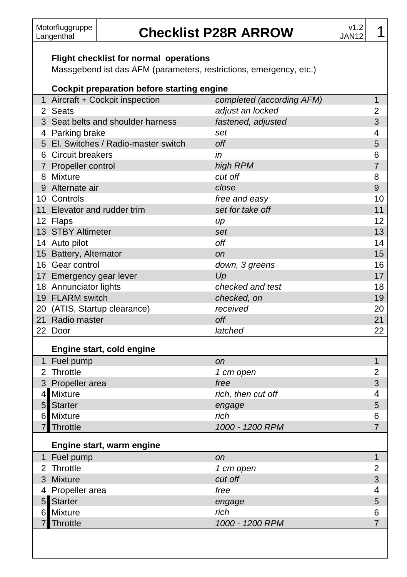## Motorfluggruppe **Checklist P28R ARROW** v1.2

 $\frac{1.2}{1.4}$  1

#### **Flight checklist for normal operations**

Massgebend ist das AFM (parameters, restrictions, emergency, etc.)

#### **Cockpit preparation before starting engine** Aircraft + Cockpit inspection *completed (according AFM)* 1 Seats *adjust an locked* 2 Seat belts and shoulder harness *fastened, adjusted* 3 Parking brake *set* 4 El. Switches / Radio-master switch *off* 5 Circuit breakers *in* 6 Propeller control *high RPM* 7 Mixture *cut off* 8 Alternate air *close* 9 Controls *free and easy* 10 Elevator and rudder trim *set for take off* 11 Flaps *up* 12 STBY Altimeter *set* 13 Auto pilot *off* 14 Battery, Alternator *on* 15 Gear control *down, 3 greens* 16 17 Emergency gear lever **17** Emergency gear lever **17 Up**  Annunciator lights *checked and test* 18 FLARM switch *checked, on* 19 (ATIS, Startup clearance) *received* 20 Radio master *off* 21 Door *latched* 22 **Engine start, cold engine** Fuel pump *on* 1 Throttle *1 cm open* 2 Propeller area *free* 3 Mixture *rich, then cut off* 4 Starter *engage* 5 Mixture *rich* 6 Throttle *1000 - 1200 RPM* 7 **Engine start, warm engine** Fuel pump *on* 1 Throttle *1 cm open* 2 Mixture *cut off* 3 Propeller area *free* 4 Starter *engage* 5 Mixture *rich* 6

Throttle *1000 - 1200 RPM* 7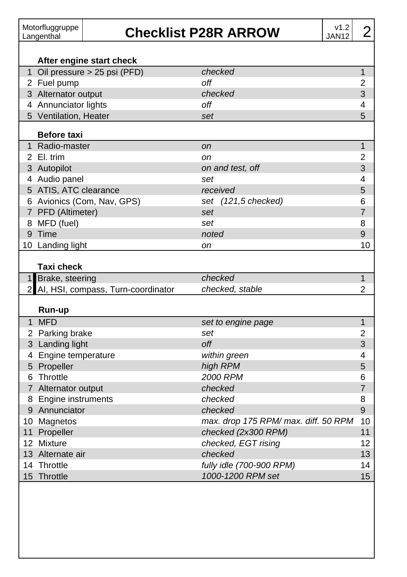### **Checklist P28R ARROW**

|              | After engine start check                     | checked                              |                     |  |  |
|--------------|----------------------------------------------|--------------------------------------|---------------------|--|--|
|              | 1 Oil pressure > 25 psi (PFD)<br>2 Fuel pump | off                                  | 1<br>$\overline{c}$ |  |  |
|              | 3 Alternator output                          | checked                              | 3                   |  |  |
|              | 4 Annunciator lights                         | off                                  |                     |  |  |
|              | 5 Ventilation, Heater                        | set                                  | 4<br>5              |  |  |
|              |                                              |                                      |                     |  |  |
|              | <b>Before taxi</b>                           |                                      |                     |  |  |
| $\mathbf 1$  | Radio-master                                 | <sub>on</sub>                        | 1                   |  |  |
|              | 2 El. trim                                   | оn                                   | $\overline{2}$      |  |  |
|              | 3 Autopilot                                  | on and test, off                     | 3                   |  |  |
|              | 4 Audio panel                                | set                                  | 4                   |  |  |
|              | 5 ATIS, ATC clearance                        | received                             | 5                   |  |  |
|              | 6 Avionics (Com, Nav, GPS)                   | set (121,5 checked)                  | 6                   |  |  |
|              | 7 PFD (Altimeter)                            | set                                  | 7                   |  |  |
|              | 8 MFD (fuel)                                 | set                                  | 8                   |  |  |
|              | 9 Time                                       | noted                                | 9                   |  |  |
|              | 10 Landing light                             | on                                   | 10                  |  |  |
|              | Taxi check                                   |                                      |                     |  |  |
|              |                                              |                                      |                     |  |  |
| 1            | Brake, steering                              | checked                              | $\overline{1}$      |  |  |
| $\mathbf{2}$ | AI, HSI, compass, Turn-coordinator           | checked, stable                      | $\overline{2}$      |  |  |
|              |                                              |                                      |                     |  |  |
|              | Run-up                                       |                                      |                     |  |  |
|              | 1 MFD                                        | set to engine page                   | 1                   |  |  |
|              | 2 Parking brake                              | set                                  | 2                   |  |  |
|              | 3 Landing light                              | off                                  | 3                   |  |  |
|              | 4 Engine temperature                         | within green                         | 4                   |  |  |
|              | 5 Propeller                                  | high RPM                             | 5                   |  |  |
|              | 6 Throttle                                   | <b>2000 RPM</b>                      | 6                   |  |  |
|              | 7 Alternator output                          | checked                              | 7                   |  |  |
|              | 8 Engine instruments                         | checked                              | 8                   |  |  |
|              | 9 Annunciator                                | checked                              | 9                   |  |  |
|              | 10 Magnetos                                  | max. drop 175 RPM/ max. diff. 50 RPM | 10                  |  |  |
|              | 11 Propeller                                 | checked (2x300 RPM)                  | 11                  |  |  |
|              | 12 Mixture                                   | checked, EGT rising                  | 12                  |  |  |
|              | 13 Alternate air                             | checked                              | 13                  |  |  |
|              | 14 Throttle                                  | fully idle (700-900 RPM)             | 14                  |  |  |
| 15           | Throttle                                     | 1000-1200 RPM set                    | 15                  |  |  |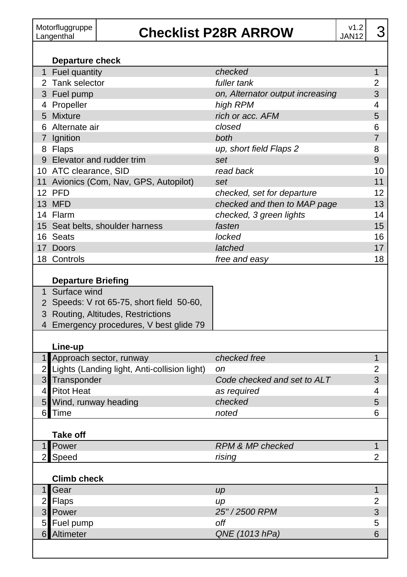### **Checklist P28R ARROW**

|                | Departure check                                                                                                                              |                                  |                |
|----------------|----------------------------------------------------------------------------------------------------------------------------------------------|----------------------------------|----------------|
|                | 1 Fuel quantity                                                                                                                              | checked                          | $\mathbf{1}$   |
|                | 2 Tank selector                                                                                                                              | fuller tank                      | 2              |
|                | 3 Fuel pump                                                                                                                                  | on, Alternator output increasing | 3              |
|                | 4 Propeller                                                                                                                                  | high RPM                         | 4              |
|                | 5 Mixture                                                                                                                                    | rich or acc. AFM                 | 5              |
|                | 6 Alternate air                                                                                                                              | closed                           | 6              |
|                | 7 Ignition                                                                                                                                   | both                             | 7              |
|                | 8 Flaps                                                                                                                                      | up, short field Flaps 2          | 8              |
|                | 9 Elevator and rudder trim                                                                                                                   | set                              | 9              |
|                | 10 ATC clearance, SID                                                                                                                        | read back                        | 10             |
|                | 11 Avionics (Com, Nav, GPS, Autopilot)                                                                                                       | set                              | 11             |
|                | 12 PFD                                                                                                                                       | checked, set for departure       | 12             |
|                | 13 MFD                                                                                                                                       | checked and then to MAP page     | 13             |
|                | 14 Flarm                                                                                                                                     | checked, 3 green lights          | 14             |
|                | 15 Seat belts, shoulder harness                                                                                                              | fasten                           | 15             |
|                | 16 Seats                                                                                                                                     | locked                           | 16             |
|                | 17 Doors                                                                                                                                     | latched                          | 17             |
|                | 18 Controls                                                                                                                                  | free and easy                    | 18             |
|                | 1 Surface wind<br>2 Speeds: V rot 65-75, short field 50-60,<br>3 Routing, Altitudes, Restrictions<br>4 Emergency procedures, V best glide 79 |                                  |                |
|                | Line-up                                                                                                                                      |                                  |                |
|                | 1 Approach sector, runway                                                                                                                    | checked free                     | $\mathbf{1}$   |
| 2              | Lights (Landing light, Anti-collision light)                                                                                                 | <sub>on</sub>                    | 2              |
|                | 3 Transponder                                                                                                                                | Code checked and set to ALT      | 3              |
| $\overline{4}$ | <b>Pitot Heat</b>                                                                                                                            | as required                      | 4              |
| 5              | Wind, runway heading                                                                                                                         | checked                          | 5              |
| 6              | Time                                                                                                                                         | noted                            | 6              |
|                | <b>Take off</b>                                                                                                                              |                                  |                |
| $\mathbf{1}$   | Power                                                                                                                                        | RPM & MP checked                 | $\overline{1}$ |
| $\mathbf{2}$   | Speed                                                                                                                                        | rising                           | 2              |
|                | <b>Climb check</b>                                                                                                                           |                                  |                |
| $\mathbf{1}$   | Gear                                                                                                                                         | $\mu$                            | 1              |
| $\mathbf{2}$   | <b>Flaps</b>                                                                                                                                 | up                               | 2              |
| 3              | Power                                                                                                                                        | 25" / 2500 RPM                   | 3              |
| 5              | Fuel pump                                                                                                                                    | off                              | 5              |
|                | 6 Altimeter                                                                                                                                  | QNE (1013 hPa)                   | 6              |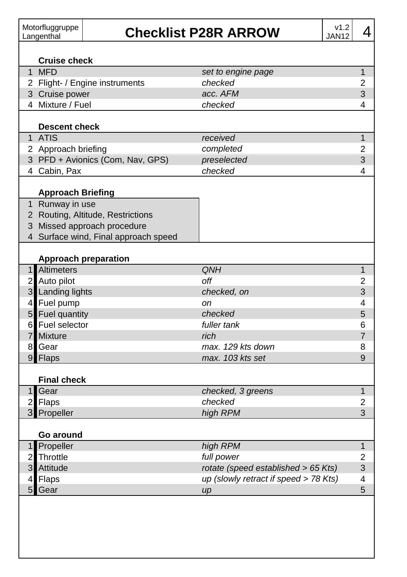| Motorfluggruppe<br>Langenthal |                          |                                      | v1.2<br><b>Checklist P28R ARROW</b><br><b>JAN12</b> | 4                       |  |
|-------------------------------|--------------------------|--------------------------------------|-----------------------------------------------------|-------------------------|--|
|                               | <b>Cruise check</b>      |                                      |                                                     |                         |  |
|                               | 1 MFD                    |                                      | set to engine page                                  | 1                       |  |
|                               |                          | 2 Flight- / Engine instruments       | checked                                             | 2                       |  |
|                               | 3 Cruise power           |                                      | acc. AFM                                            | 3                       |  |
|                               | 4 Mixture / Fuel         |                                      | checked                                             | 4                       |  |
|                               |                          |                                      |                                                     |                         |  |
|                               | <b>Descent check</b>     |                                      |                                                     |                         |  |
|                               | 1 ATIS                   |                                      | received                                            | 1                       |  |
|                               | 2 Approach briefing      |                                      | completed                                           | 2                       |  |
|                               |                          | 3 PFD + Avionics (Com, Nav, GPS)     | preselected                                         | 3                       |  |
|                               | 4 Cabin, Pax             |                                      | checked                                             | 4                       |  |
|                               |                          |                                      |                                                     |                         |  |
|                               | <b>Approach Briefing</b> |                                      |                                                     |                         |  |
|                               | 1 Runway in use          |                                      |                                                     |                         |  |
|                               |                          | 2 Routing, Altitude, Restrictions    |                                                     |                         |  |
|                               |                          | 3 Missed approach procedure          |                                                     |                         |  |
|                               |                          | 4 Surface wind, Final approach speed |                                                     |                         |  |
|                               |                          |                                      |                                                     |                         |  |
|                               |                          | <b>Approach preparation</b>          |                                                     |                         |  |
|                               | 1 Altimeters             |                                      | QNH                                                 | $\mathbf{1}$            |  |
|                               | 2 Auto pilot             |                                      | off                                                 | 2<br>3                  |  |
|                               | 3 Landing lights         |                                      | checked, on                                         |                         |  |
| 4                             | Fuel pump                |                                      | on                                                  | 4                       |  |
|                               | 5 Fuel quantity          |                                      | checked                                             | 5                       |  |
|                               | 6 Fuel selector          |                                      | fuller tank                                         | 6                       |  |
| $\overline{7}$                | <b>Mixture</b>           |                                      | rich                                                | $\overline{7}$          |  |
| 8                             | Gear                     |                                      | max. 129 kts down                                   | 8                       |  |
|                               | 9 Flaps                  |                                      | max. 103 kts set                                    | 9                       |  |
|                               | <b>Final check</b>       |                                      |                                                     |                         |  |
|                               | 1 Gear                   |                                      | checked, 3 greens                                   | 1                       |  |
|                               | 2 Flaps                  |                                      | checked                                             | 2                       |  |
| $\overline{3}$                | Propeller                |                                      | high RPM                                            | 3                       |  |
|                               |                          |                                      |                                                     |                         |  |
|                               | Go around                |                                      |                                                     |                         |  |
|                               | 1 Propeller              |                                      | high RPM                                            | 1                       |  |
| 2                             | Throttle                 |                                      | full power                                          | $\overline{\mathbf{c}}$ |  |
| 3                             | Attitude                 |                                      | rotate (speed established > 65 Kts)                 | $\mathfrak{S}$          |  |
| 4                             | Flaps                    |                                      | up (slowly retract if speed > 78 Kts)               | 4                       |  |
| 5                             | Gear                     |                                      | $\mu$                                               | 5                       |  |
|                               |                          |                                      |                                                     |                         |  |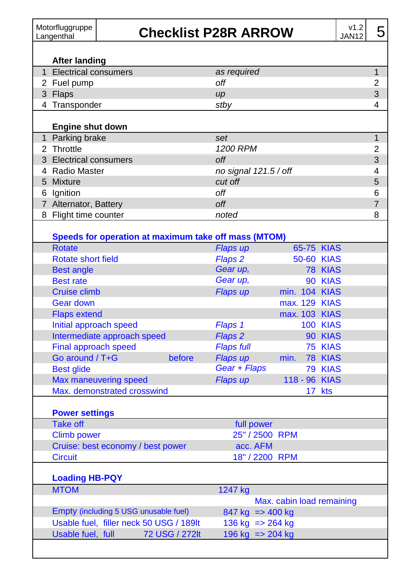| Motorfluggruppe<br>Langenthal | <b>Checklist P28R ARROW</b> | V1.2<br>JAN <sub>12</sub> |  |
|-------------------------------|-----------------------------|---------------------------|--|
| After landing                 |                             |                           |  |
| <b>Electrical consumers</b>   | as required                 |                           |  |
|                               | $\overline{\phantom{a}}$    |                           |  |

| <b>LICOLICAL COLIGATIONS</b> | <u>au iuguil uu</u> |   |
|------------------------------|---------------------|---|
| 2 Fuel pump                  | off                 | ◠ |
| 3 Flaps                      | $\mu$               |   |
| 4 Transponder                | stby                |   |
|                              |                     |   |
|                              |                     |   |
| <b>Engine shut down</b>      |                     |   |
| 1 Parking brake              | set                 |   |
| 2 Throttle                   | 1200 RPM            |   |

| <b>I</b> clining bland | いしい                   |   |
|------------------------|-----------------------|---|
| 2 Throttle             | 1200 RPM              | 2 |
| 3 Electrical consumers | off                   | 3 |
| 4 Radio Master         | no signal 121.5 / off | 4 |
| 5 Mixture              | cut off               | 5 |
| 6 Ignition             | off                   | 6 |
| 7 Alternator, Battery  | off                   |   |
| 8 Flight time counter  | noted                 | 8 |

| <b>Rotate</b>               |          | Flaps up           | 65-75 KIAS    |                 |
|-----------------------------|----------|--------------------|---------------|-----------------|
| Rotate short field          |          | Flaps <sub>2</sub> | 50-60 KIAS    |                 |
| <b>Best angle</b>           |          | Gear up,           |               | 78 KIAS         |
| <b>Best rate</b>            |          | Gear up,           |               | 90 KIAS         |
| Cruise climb                |          | Flaps up           | min. 104 KIAS |                 |
| Gear down                   |          |                    | max. 129 KIAS |                 |
| <b>Flaps extend</b>         |          |                    | max. 103 KIAS |                 |
| Initial approach speed      |          | Flaps 1            |               | <b>100 KIAS</b> |
| Intermediate approach speed |          | Flaps 2            |               | 90 KIAS         |
| Final approach speed        |          | <b>Flaps full</b>  |               | 75 KIAS         |
| Go around / T+G             | before   | Flaps up           | min.          | 78 KIAS         |
| <b>Best glide</b>           |          | Gear + Flaps       |               | 79 KIAS         |
| Max maneuvering speed       | Flaps up | 118 - 96 KIAS      |               |                 |
| Max. demonstrated crosswind |          |                    |               | 17 kts          |

| <b>POWER SETTINGS</b>             |                |
|-----------------------------------|----------------|
| Take off                          | full power     |
| Climb power                       | 25" / 2500 RPM |
| Cruise: best economy / best power | acc. AFM       |
| <b>Circuit</b>                    | 18" / 2200 RPM |
|                                   |                |

#### **Loading HB-PQY**

| <b>MTOM</b>                             | 1247 kg                                |  |
|-----------------------------------------|----------------------------------------|--|
|                                         | Max. cabin load remaining              |  |
| Empty (including 5 USG unusable fuel)   | $847 \text{ kg} \equiv 400 \text{ kg}$ |  |
| Usable fuel, filler neck 50 USG / 189lt | 136 kg $=$ 264 kg                      |  |
| 72 USG / 272lt<br>Usable fuel, full     | 196 kg $\approx$ 204 kg                |  |
|                                         |                                        |  |

### R ARROW

 $\begin{array}{c} 1.2 \\ JAN12 \end{array}$  5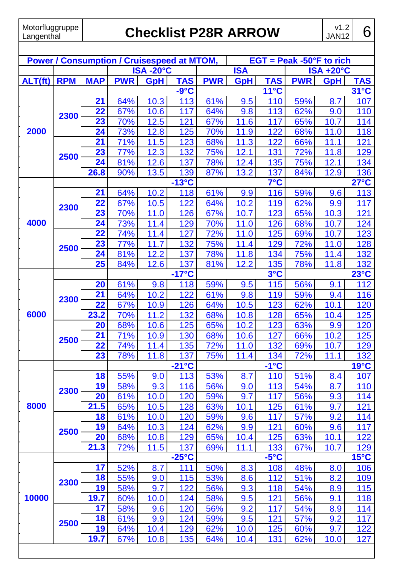# **Checklist P28R ARROW**

| <b>Power / Consumption / Cruisespeed at MTOM,</b> |            |            |                   |                 |                 |                            |                      |                |            |                 |                |
|---------------------------------------------------|------------|------------|-------------------|-----------------|-----------------|----------------------------|----------------------|----------------|------------|-----------------|----------------|
|                                                   |            |            |                   |                 |                 | $EGT = Peak -50°F$ to rich |                      |                |            |                 |                |
|                                                   |            |            |                   | <b>ISA-20°C</b> |                 |                            | <b>ISA</b>           |                | <b>ISA</b> | $+20^{\circ}$ C |                |
| ALT(ft)                                           | <b>RPM</b> | <b>MAP</b> | <b>PWR</b>        | <b>GpH</b>      | <b>TAS</b>      | <b>PWR</b>                 | <b>GpH</b>           | <b>TAS</b>     | <b>PWR</b> | <b>GpH</b>      | <b>TAS</b>     |
|                                                   |            |            |                   |                 | $-9^{\circ}C$   |                            |                      | $11^{\circ}$ C |            |                 | $31^{\circ}$ C |
|                                                   |            | 21         | 64%               | 10.3            | 113             | 61%                        | 9.5                  | 110            | 59%        | 8.7             | 107            |
|                                                   | 2300       | 22         | 67%               | 10.6            | 117             | 64%                        | 9.8                  | 113            | 62%        | 9.0             | 110            |
|                                                   |            | 23         | 70%               | 12.5            | 121             | 67%                        | 11.6                 | 117            | 65%        | 10.7            | 114            |
| 2000                                              |            | 24         | 73%               | 12.8            | 125             | 70%                        | 11.9                 | 122            | 68%        | 11.0            | 118            |
|                                                   |            | 21         | 71%               | 11.5            | 123             | 68%                        | 11.3                 | 122            | 66%        | 11.1            | 121            |
|                                                   | 2500       | 23         | 77%               | 12.3            | 132             | 75%                        | 12.1                 | 131            | 72%        | 11.8            | 129            |
|                                                   |            | 24         | 81%               | 12.6            | 137             | 78%                        | 12.4                 | 135            | 75%        | 12.1            | 134            |
|                                                   |            | 26.8       | 90%               | 13.5            | 139             | 87%                        | 13.2                 | 137            | 84%        | 12.9            | 136            |
|                                                   |            |            |                   |                 | $-13^{\circ}$ C |                            |                      | 7°C            |            |                 | $27^{\circ}$ C |
|                                                   |            | 21         | 64%               | 10.2            | 118             | 61%                        | 9.9                  | 116            | 59%        | 9.6             | 113            |
|                                                   | 2300       | 22         | 67%               | 10.5            | 122             | 64%                        | 10.2                 | 119            | 62%        | 9.9             | 117            |
|                                                   |            | 23         | 70%               | 11.0            | 126             | 67%                        | 10.7                 | 123            | 65%        | 10.3            | 121            |
| 4000                                              |            | 24         | 73%               | 11.4            | 129             | 70%                        | 11.0                 | 126            | 68%        | 10.7            | 124            |
|                                                   |            | 22         | 74%               | 11.4            | 127             | 72%                        | 11.0                 | 125            | 69%        | 10.7            | 123            |
|                                                   | 2500       | 23         | 77%               | 11.7            | 132             | 75%                        | 11.4                 | 129            | 72%        | 11.0            | 128            |
|                                                   |            | 24         | 81%               | 12.2            | 137             | 78%                        | 11.8                 | 134            | 75%        | 11.4            | 132            |
|                                                   |            | 25         | 84%               | 12.6            | 137             | 81%                        | 12.2                 | 135            | 78%        | 11.8            | 132            |
|                                                   |            |            |                   |                 | -17°C           |                            |                      | 3°C            |            |                 | 23°C           |
|                                                   |            | 20         | 61%               | 9.8             | 118             | 59%                        | 9.5                  | 115            | 56%        | 9.1             | 112            |
|                                                   | 2300       | 21         | 64%               | 10.2            | 122             | 61%                        | 9.8                  | 119            | 59%        | 9.4             | 116            |
|                                                   |            | 22         | 67%               | 10.9            | 126             | 64%                        | 10.5                 | 123            | 62%        | 10.1            | 120            |
| 6000                                              |            | 23.2       | 70%               | 11.2            | 132             | 68%                        | 10.8                 | 128            | 65%        | 10.4            | 125            |
|                                                   | 2500       | 20         | 68%               | 10.6            | 125             | 65%                        | 10.2                 | 123            | 63%        | 9.9             | 120            |
|                                                   |            | 21         | 71%               | 10.9            | 130             | 68%                        | 10.6                 | 127            | 66%        | 10.2            | 125            |
|                                                   |            | 22         | 74%               | 11.4            | 135             | 72%                        | 11.0                 | 132            | 69%        | 10.7            | 129            |
|                                                   |            | 23         | 78%               | 11.8            | 137             | 75%                        | 11<br>$\overline{A}$ | 134            | 72%        | 11.1            | 132            |
|                                                   |            |            |                   |                 | -21°C           |                            |                      | $-1^{\circ}C$  |            |                 | $19^{\circ}$ C |
|                                                   |            | 18         | 55%               | 9.0             | 113             | 53%                        | 8.7                  | 110            | 51%        | 8.4             | 107            |
|                                                   | 2300       | 19         | 58%               | 9.3             | 116             | 56%                        | 9.0                  | 113            | 54%        | 8.7             | 110            |
|                                                   |            | 20         | 61%               | 10.0            | 120             | 59%                        | 9.7                  | 117            | 56%        | 9.3             | 114            |
| 8000                                              |            | 21.5       | 65%               | 10.5            | 128             | 63%                        | 10.1                 | 125            | 61%        | 9.7             | 121            |
|                                                   |            | 18         | 61%               | 10.0            | 120             | 59%                        | 9.6                  | 117            | 57%        | 9.2             | 114            |
|                                                   | 2500       | 19         | 64%               | 10.3            | 124             | 62%                        | 9.9                  | 121            | 60%        | 9.6             | 117            |
|                                                   |            | 20         | 68%               | 10.8            | 129             | 65%                        | 10.4                 | 125            | 63%        | 10.1            | 122            |
|                                                   |            | 21.3       | $\overline{72\%}$ | 11.5            | 137             | 69%                        | 11.1                 | 133            | 67%        | 10.7            | 129            |
|                                                   |            |            |                   |                 | $-25^{\circ}$ C |                            |                      | $-5^{\circ}C$  |            |                 | $15^{\circ}$ C |
|                                                   |            | 17         | 52%               | 8.7             | 111             | 50%                        | 8.3                  | 108            | 48%        | 8.0             | 106            |
|                                                   | 2300       | 18         | 55%               | 9.0             | 115             | 53%                        | 8.6                  | 112            | 51%        | 8.2             | 109            |
|                                                   |            | 19         | 58%               | 9.7             | 122             | 56%                        | 9.3                  | 118            | 54%        | 8.9             | 115            |
| 10000                                             |            | 19.7       | 60%               | 10.0            | 124             | 58%                        | 9.5                  | 121            | 56%        | 9.1             | 118            |
|                                                   |            | 17         | 58%               | 9.6             | 120             | 56%                        | 9.2                  | 117            | 54%        | 8.9             | 114            |
|                                                   |            | 18         | 61%               | 9.9             | 124             | 59%                        | $9.5\,$              | 121            | 57%        | 9.2             | 117            |
|                                                   | 2500       | 19         | 64%               | 10.4            | 129             | 62%                        | 10.0                 | 125            | 60%        | 9.7             | 122            |
|                                                   |            | 19.7       | 67%               | 10.8            | 135             | 64%                        | 10.4                 | 131            | 62%        | 10.0            | 127            |
|                                                   |            |            |                   |                 |                 |                            |                      |                |            |                 |                |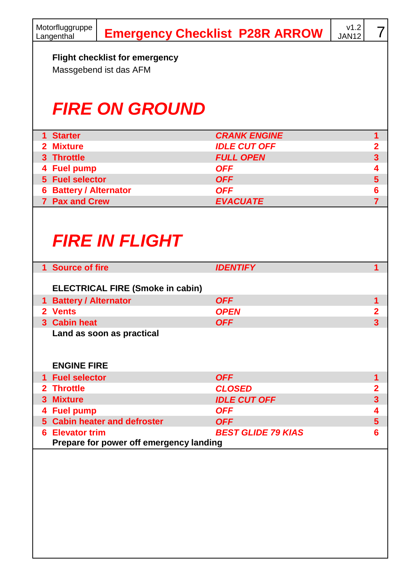| Motorfluggruppe<br>Langenthal |                                                          | <b>Emergency Checklist P28R ARROW</b> | v1.2<br>JAN12 | 7                       |
|-------------------------------|----------------------------------------------------------|---------------------------------------|---------------|-------------------------|
|                               | Flight checklist for emergency<br>Massgebend ist das AFM |                                       |               |                         |
|                               | <b>FIRE ON GROUND</b>                                    |                                       |               |                         |
| 1 Starter                     |                                                          | <b>CRANK ENGINE</b>                   |               | 1                       |
| 2 Mixture                     |                                                          | <b>IDLE CUT OFF</b>                   |               | 2                       |
| 3 Throttle                    |                                                          | <b>FULL OPEN</b>                      |               | 3                       |
| 4 Fuel pump                   |                                                          | <b>OFF</b>                            |               | 4                       |
| 5 Fuel selector               |                                                          | <b>OFF</b>                            |               | $\overline{5}$          |
| <b>6 Battery / Alternator</b> |                                                          | <b>OFF</b>                            |               | 6                       |
| 7 Pax and Crew                |                                                          | <b>EVACUATE</b>                       |               | $\overline{7}$          |
| 1 Source of fire              | <b>FIRE IN FLIGHT</b>                                    | <b>IDENTIFY</b>                       |               | 1                       |
|                               | <b>ELECTRICAL FIRE (Smoke in cabin)</b>                  |                                       |               |                         |
| 1 Battery / Alternator        |                                                          | <b>OFF</b>                            |               | 1                       |
| 2 Vents                       |                                                          | <b>OPEN</b>                           |               | 2                       |
| 3 Cabin heat                  |                                                          | <b>OFF</b>                            |               | $\overline{\mathbf{3}}$ |
| <b>ENGINE FIRE</b>            | Land as soon as practical                                |                                       |               |                         |
| 1 Fuel selector               |                                                          | <b>OFF</b>                            |               | 1                       |
| 2 Throttle                    |                                                          | <b>CLOSED</b>                         |               | 2                       |
| 3 Mixture                     |                                                          | <b>IDLE CUT OFF</b>                   |               | $\overline{\mathbf{3}}$ |
| 4 Fuel pump                   |                                                          | <b>OFF</b>                            |               | 4                       |
|                               | 5 Cabin heater and defroster                             | <b>OFF</b>                            |               | $\overline{5}$          |
| <b>6 Elevator trim</b>        | Prepare for power off emergency landing                  | <b>BEST GLIDE 79 KIAS</b>             |               | 6                       |
|                               |                                                          |                                       |               |                         |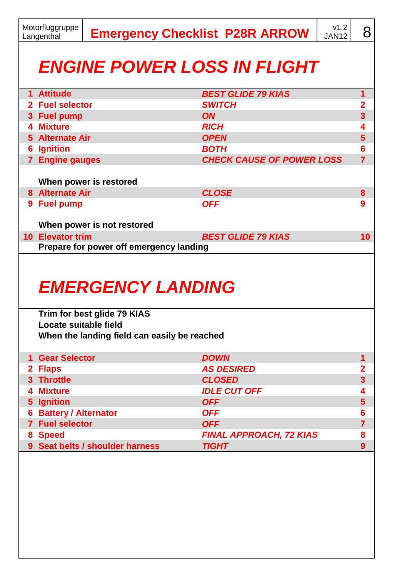|                                    | Motorfluggruppe<br>v1.2<br><b>Emergency Checklist P28R ARROW</b><br><b>JAN12</b><br>Langenthal |                                                         |                                  |  |                |  |  |
|------------------------------------|------------------------------------------------------------------------------------------------|---------------------------------------------------------|----------------------------------|--|----------------|--|--|
| <b>ENGINE POWER LOSS IN FLIGHT</b> |                                                                                                |                                                         |                                  |  |                |  |  |
|                                    | 1 Attitude                                                                                     |                                                         | <b>BEST GLIDE 79 KIAS</b>        |  | 1              |  |  |
|                                    | 2 Fuel selector                                                                                |                                                         | <b>SWITCH</b>                    |  | 2              |  |  |
|                                    | 3 Fuel pump                                                                                    |                                                         | <b>ON</b>                        |  | 3              |  |  |
|                                    | 4 Mixture                                                                                      |                                                         | <b>RICH</b>                      |  | 4              |  |  |
|                                    | 5 Alternate Air                                                                                |                                                         | <b>OPEN</b>                      |  | 5              |  |  |
|                                    | <b>6</b> Ignition                                                                              |                                                         | <b>BOTH</b>                      |  | 6              |  |  |
|                                    | 7 Engine gauges                                                                                |                                                         | <b>CHECK CAUSE OF POWER LOSS</b> |  | $\overline{7}$ |  |  |
|                                    |                                                                                                | When power is restored                                  |                                  |  |                |  |  |
|                                    | 8 Alternate Air                                                                                |                                                         | <b>CLOSE</b>                     |  | 8              |  |  |
|                                    | 9 Fuel pump                                                                                    |                                                         | <b>OFF</b>                       |  | g              |  |  |
|                                    |                                                                                                | When power is not restored                              |                                  |  |                |  |  |
|                                    | 10 Elevator trim                                                                               | Prepare for power off emergency landing                 | <b>BEST GLIDE 79 KIAS</b>        |  | 10             |  |  |
|                                    |                                                                                                | <b>EMERGENCY LANDING</b><br>Trim for best glide 79 KIAS |                                  |  |                |  |  |
|                                    | Locate suitable field                                                                          | When the landing field can easily be reached            |                                  |  |                |  |  |
|                                    | 1 Gear Selector                                                                                |                                                         | <b>DOWN</b>                      |  | 1              |  |  |
|                                    | 2 Flaps                                                                                        |                                                         | <b>AS DESIRED</b>                |  | 2              |  |  |
|                                    | 3 Throttle                                                                                     |                                                         | <b>CLOSED</b>                    |  | 3              |  |  |
|                                    | 4 Mixture                                                                                      |                                                         | <b>IDLE CUT OFF</b>              |  | 4              |  |  |
|                                    | 5 Ignition                                                                                     |                                                         | <b>OFF</b>                       |  | 5              |  |  |
|                                    | <b>6 Battery / Alternator</b>                                                                  |                                                         | <b>OFF</b>                       |  | 6              |  |  |
|                                    | 7 Fuel selector                                                                                |                                                         | <b>OFF</b>                       |  | 7              |  |  |
|                                    | 8 Speed                                                                                        |                                                         | <b>FINAL APPROACH, 72 KIAS</b>   |  | 8              |  |  |
|                                    |                                                                                                | 9 Seat belts / shoulder harness                         | <b>TIGHT</b>                     |  | 9              |  |  |
|                                    |                                                                                                |                                                         |                                  |  |                |  |  |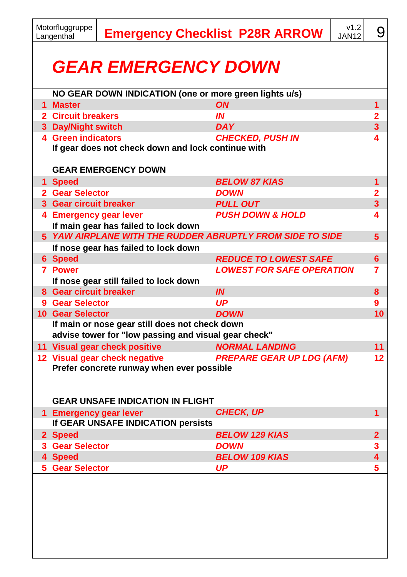|                            | Motorfluggruppe<br>Langenthal                                                                                                                                   |                                                        |             | <b>Emergency Checklist P28R ARROW</b> | V1.2<br><b>JAN12</b> | 9                       |  |  |  |  |  |
|----------------------------|-----------------------------------------------------------------------------------------------------------------------------------------------------------------|--------------------------------------------------------|-------------|---------------------------------------|----------------------|-------------------------|--|--|--|--|--|
| <b>GEAR EMERGENCY DOWN</b> |                                                                                                                                                                 |                                                        |             |                                       |                      |                         |  |  |  |  |  |
|                            |                                                                                                                                                                 | NO GEAR DOWN INDICATION (one or more green lights u/s) |             |                                       |                      |                         |  |  |  |  |  |
|                            | 1 Master                                                                                                                                                        |                                                        | <b>ON</b>   |                                       |                      | 1<br>$\overline{2}$     |  |  |  |  |  |
|                            | 2 Circuit breakers                                                                                                                                              |                                                        | IN          |                                       |                      |                         |  |  |  |  |  |
|                            | 3 Day/Night switch                                                                                                                                              |                                                        |             | <b>DAY</b>                            |                      | 3                       |  |  |  |  |  |
|                            | 4 Green indicators<br><b>CHECKED, PUSH IN</b><br>If gear does not check down and lock continue with                                                             |                                                        |             |                                       |                      |                         |  |  |  |  |  |
|                            |                                                                                                                                                                 | <b>GEAR EMERGENCY DOWN</b>                             |             |                                       |                      |                         |  |  |  |  |  |
|                            | 1 Speed                                                                                                                                                         |                                                        |             | <b>BELOW 87 KIAS</b>                  |                      |                         |  |  |  |  |  |
|                            | 2 Gear Selector                                                                                                                                                 |                                                        |             | <b>DOWN</b>                           |                      |                         |  |  |  |  |  |
|                            | 3 Gear circuit breaker                                                                                                                                          |                                                        |             | <b>PULL OUT</b>                       |                      | 3                       |  |  |  |  |  |
|                            | 4 Emergency gear lever                                                                                                                                          | If main gear has failed to lock down                   |             | <b>PUSH DOWN &amp; HOLD</b>           |                      | 4                       |  |  |  |  |  |
|                            | 5 YAW AIRPLANE WITH THE RUDDER ABRUPTLY FROM SIDE TO SIDE<br>5                                                                                                  |                                                        |             |                                       |                      |                         |  |  |  |  |  |
|                            |                                                                                                                                                                 | If nose gear has failed to lock down                   |             |                                       |                      |                         |  |  |  |  |  |
|                            | 6 Speed                                                                                                                                                         |                                                        |             | <b>REDUCE TO LOWEST SAFE</b>          |                      | 6                       |  |  |  |  |  |
|                            | 7 Power<br>If nose gear still failed to lock down                                                                                                               |                                                        |             | <b>LOWEST FOR SAFE OPERATION</b>      |                      |                         |  |  |  |  |  |
|                            | 8 Gear circuit breaker                                                                                                                                          |                                                        | IN          |                                       |                      | 8                       |  |  |  |  |  |
|                            | 9 Gear Selector                                                                                                                                                 |                                                        | UP          |                                       |                      | 9                       |  |  |  |  |  |
|                            | <b>10 Gear Selector</b>                                                                                                                                         |                                                        | <b>DOWN</b> |                                       |                      | 10                      |  |  |  |  |  |
|                            | If main or nose gear still does not check down<br>advise tower for "low passing and visual gear check"                                                          |                                                        |             |                                       |                      |                         |  |  |  |  |  |
|                            |                                                                                                                                                                 | 11 Visual gear check positive                          |             | <b>NORMAL LANDING</b>                 |                      | 11                      |  |  |  |  |  |
|                            | 12 Visual gear check negative<br><b>PREPARE GEAR UP LDG (AFM)</b><br>12<br>Prefer concrete runway when ever possible<br><b>GEAR UNSAFE INDICATION IN FLIGHT</b> |                                                        |             |                                       |                      |                         |  |  |  |  |  |
|                            | <b>CHECK, UP</b><br>1 Emergency gear lever<br>If GEAR UNSAFE INDICATION persists                                                                                |                                                        |             |                                       |                      | 1                       |  |  |  |  |  |
|                            | 2 Speed                                                                                                                                                         |                                                        |             | <b>BELOW 129 KIAS</b>                 |                      | 2                       |  |  |  |  |  |
|                            | 3 Gear Selector                                                                                                                                                 |                                                        | DOWN        |                                       |                      | 3                       |  |  |  |  |  |
|                            | 4 Speed                                                                                                                                                         |                                                        |             | <b>BELOW 109 KIAS</b>                 |                      | $\overline{\mathbf{4}}$ |  |  |  |  |  |
|                            | <b>5 Gear Selector</b>                                                                                                                                          |                                                        | <b>UP</b>   |                                       |                      | 5                       |  |  |  |  |  |
|                            |                                                                                                                                                                 |                                                        |             |                                       |                      |                         |  |  |  |  |  |